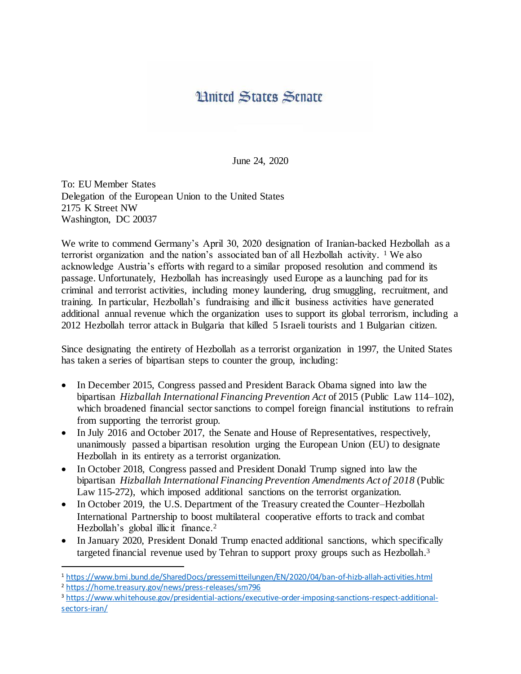## **Hnited States Senate**

June 24, 2020

To: EU Member States Delegation of the European Union to the United States 2175 K Street NW Washington, DC 20037

We write to commend Germany's April 30, 2020 designation of Iranian-backed Hezbollah as a terrorist organization and the nation's associated ban of all Hezbollah activity. <sup>1</sup> We also acknowledge Austria's efforts with regard to a similar proposed resolution and commend its passage. Unfortunately, Hezbollah has increasingly used Europe as a launching pad for its criminal and terrorist activities, including money laundering, drug smuggling, recruitment, and training. In particular, Hezbollah's fundraising and illicit business activities have generated additional annual revenue which the organization uses to support its global terrorism, including a 2012 Hezbollah terror attack in Bulgaria that killed 5 Israeli tourists and 1 Bulgarian citizen.

Since designating the entirety of Hezbollah as a terrorist organization in 1997, the United States has taken a series of bipartisan steps to counter the group, including:

- In December 2015, Congress passed and President Barack Obama signed into law the bipartisan *Hizballah International Financing Prevention Act* of 2015 (Public Law 114–102), which broadened financial sector sanctions to compel foreign financial institutions to refrain from supporting the terrorist group.
- In July 2016 and October 2017, the Senate and House of Representatives, respectively, unanimously passed a bipartisan resolution urging the European Union (EU) to designate Hezbollah in its entirety as a terrorist organization.
- In October 2018, Congress passed and President Donald Trump signed into law the bipartisan *Hizballah International Financing Prevention Amendments Act of 2018* (Public Law 115-272), which imposed additional sanctions on the terrorist organization.
- In October 2019, the U.S. Department of the Treasury created the Counter–Hezbollah International Partnership to boost multilateral cooperative efforts to track and combat Hezbollah's global illicit finance.<sup>2</sup>
- In January 2020, President Donald Trump enacted additional sanctions, which specifically targeted financial revenue used by Tehran to support proxy groups such as Hezbollah.<sup>3</sup>

<sup>2</sup> <https://home.treasury.gov/news/press-releases/sm796>

l

<sup>3</sup> [https://www.whitehouse.gov/presidential-actions/executive-order-imposing-sanctions-respect-additional](https://www.whitehouse.gov/presidential-actions/executive-order-imposing-sanctions-respect-additional-sectors-iran/)[sectors-iran/](https://www.whitehouse.gov/presidential-actions/executive-order-imposing-sanctions-respect-additional-sectors-iran/)

<sup>1</sup> <https://www.bmi.bund.de/SharedDocs/pressemitteilungen/EN/2020/04/ban-of-hizb-allah-activities.html>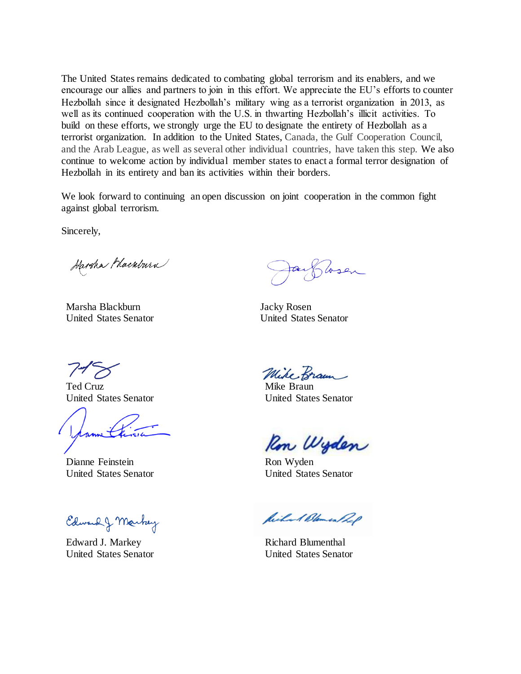The United States remains dedicated to combating global terrorism and its enablers, and we encourage our allies and partners to join in this effort. We appreciate the EU's efforts to counter Hezbollah since it designated Hezbollah's military wing as a terrorist organization in 2013, as well as its continued cooperation with the U.S. in thwarting Hezbollah's illicit activities. To build on these efforts, we strongly urge the EU to designate the entirety of Hezbollah as a terrorist organization. In addition to the United States, Canada, the Gulf Cooperation Council, and the Arab League, as well as several other individual countries, have taken this step. We also continue to welcome action by individual member states to enact a formal terror designation of Hezbollah in its entirety and ban its activities within their borders.

We look forward to continuing an open discussion on joint cooperation in the common fight against global terrorism.

Sincerely,

Harsha Hackburn

Marsha Blackburn Jacky Rosen

Wsen

United States Senator United States Senator

Ted Cruz Mike Braun

Dianne Feinstein Ron Wyden

Edward & Markey

Edward J. Markey Richard Blumenthal

Mike Braun

United States Senator United States Senator

Ron Wyden

United States Senator United States Senator

Richard Blemen Rep

United States Senator United States Senator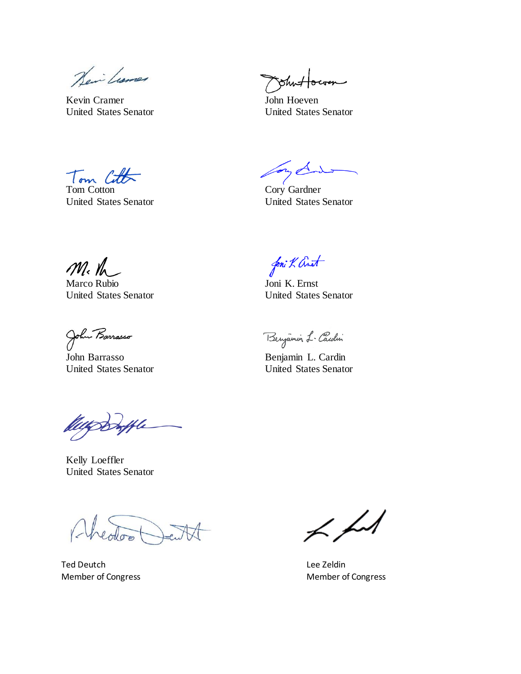Heir Lumer

Kevin Cramer John Hoeven

ohn:

United States Senator United States Senator

Tom Cott

Tom Cotton Cory Gardner

or d

United States Senator United States Senator

M.M

Marco Rubio Joni K. Ernst United States Senator United States Senator

John Barrasso Benjamin L. Cardin

Kelly Loeffler United States Senator

Ted Deutch Lee Zeldin

foni K Anot

Benjamin L-Cardin

United States Senator United States Senator

 $\not\prec \not\sim\neq$ 

Member of Congress **Member of Congress** Member of Congress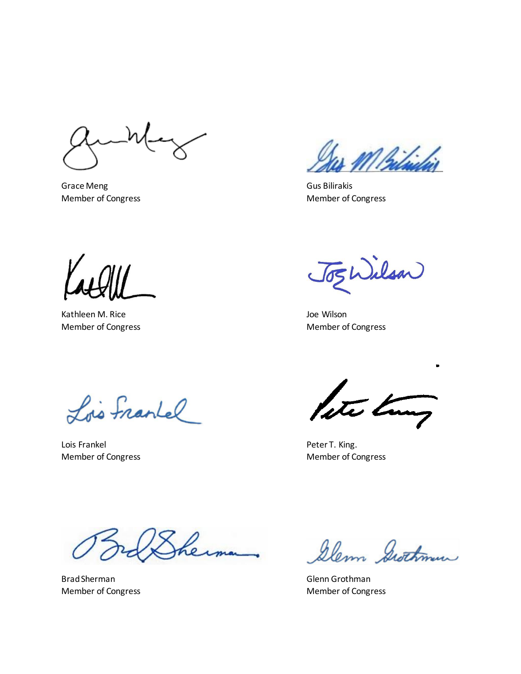Grace Meng Grace Meng Gus Bilirakis

Member of Congress Member of Congress Member of Congress

Kathleen M. Rice **View Accounts and Accounts** and Accounts and Accounts and Accounts and Accounts and Accounts and Accounts and Accounts and Accounts and Accounts and Accounts and Accounts and Accounts and Accounts and Acc

JogWilson

Member of Congress **Member of Congress** Member of Congress

Lois Frankel

Lois Frankel **Peter T. King.** 

lete tom

Member of Congress Member of Congress Member of Congress

Brad Sherman Glenn Grothman Glenn Grothman

Glenn Grothman

Member of Congress Member of Congress Member of Congress